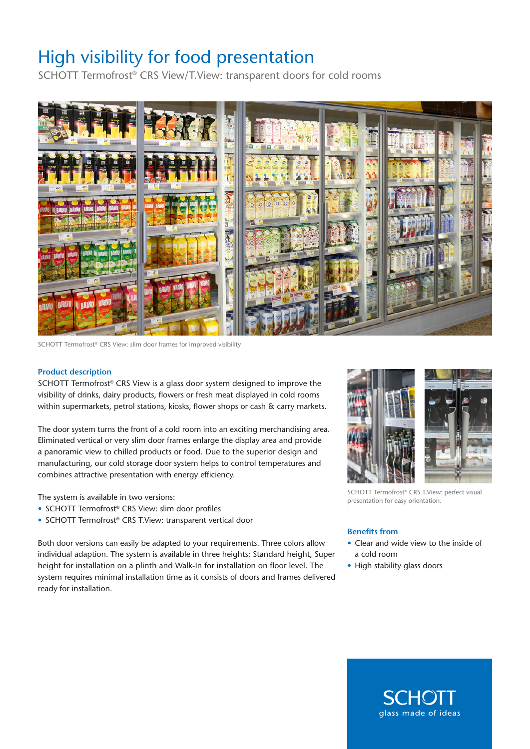## High visibility for food presentation

SCHOTT Termofrost® CRS View/T.View: transparent doors for cold rooms



SCHOTT Termofrost® CRS View: slim door frames for improved visibility

## **Product description**

SCHOTT Termofrost® CRS View is a glass door system designed to improve the visibility of drinks, dairy products, flowers or fresh meat displayed in cold rooms within supermarkets, petrol stations, kiosks, flower shops or cash & carry markets.

The door system turns the front of a cold room into an exciting merchandising area. Eliminated vertical or very slim door frames enlarge the display area and provide a panoramic view to chilled products or food. Due to the superior design and manufacturing, our cold storage door system helps to control temperatures and combines attractive presentation with energy efficiency.

The system is available in two versions:

- SCHOTT Termofrost® CRS View: slim door profiles
- SCHOTT Termofrost® CRS T.View: transparent vertical door

Both door versions can easily be adapted to your requirements. Three colors allow individual adaption. The system is available in three heights: Standard height, Super height for installation on a plinth and Walk-In for installation on floor level. The system requires minimal installation time as it consists of doors and frames delivered ready for installation.



SCHOTT Termofrost® CRS T.View: perfect visual presentation for easy orientation.

## **Benefits from**

- Clear and wide view to the inside of a cold room
- High stability glass doors